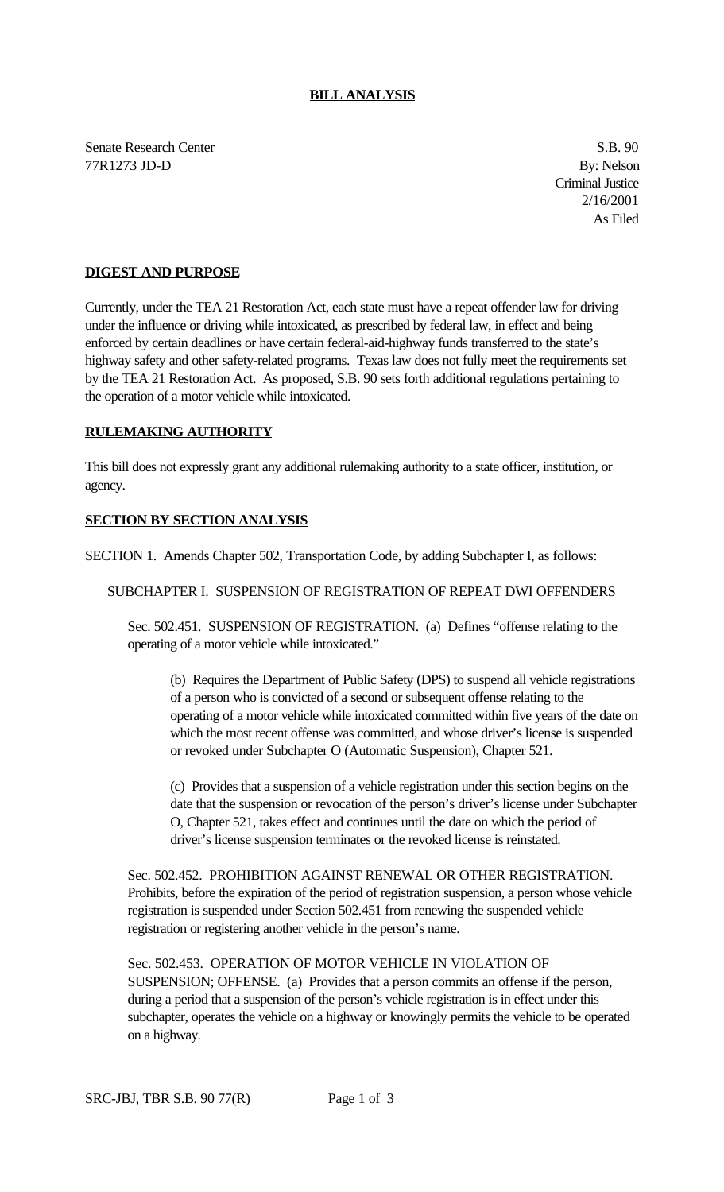## **BILL ANALYSIS**

Senate Research Center S.B. 90 77R1273 JD-D By: Nelson

Criminal Justice 2/16/2001 As Filed

## **DIGEST AND PURPOSE**

Currently, under the TEA 21 Restoration Act, each state must have a repeat offender law for driving under the influence or driving while intoxicated, as prescribed by federal law, in effect and being enforced by certain deadlines or have certain federal-aid-highway funds transferred to the state's highway safety and other safety-related programs. Texas law does not fully meet the requirements set by the TEA 21 Restoration Act. As proposed, S.B. 90 sets forth additional regulations pertaining to the operation of a motor vehicle while intoxicated.

## **RULEMAKING AUTHORITY**

This bill does not expressly grant any additional rulemaking authority to a state officer, institution, or agency.

## **SECTION BY SECTION ANALYSIS**

SECTION 1. Amends Chapter 502, Transportation Code, by adding Subchapter I, as follows:

SUBCHAPTER I. SUSPENSION OF REGISTRATION OF REPEAT DWI OFFENDERS

Sec. 502.451. SUSPENSION OF REGISTRATION. (a) Defines "offense relating to the operating of a motor vehicle while intoxicated."

(b) Requires the Department of Public Safety (DPS) to suspend all vehicle registrations of a person who is convicted of a second or subsequent offense relating to the operating of a motor vehicle while intoxicated committed within five years of the date on which the most recent offense was committed, and whose driver's license is suspended or revoked under Subchapter O (Automatic Suspension), Chapter 521.

(c) Provides that a suspension of a vehicle registration under this section begins on the date that the suspension or revocation of the person's driver's license under Subchapter O, Chapter 521, takes effect and continues until the date on which the period of driver's license suspension terminates or the revoked license is reinstated.

Sec. 502.452. PROHIBITION AGAINST RENEWAL OR OTHER REGISTRATION. Prohibits, before the expiration of the period of registration suspension, a person whose vehicle registration is suspended under Section 502.451 from renewing the suspended vehicle registration or registering another vehicle in the person's name.

Sec. 502.453. OPERATION OF MOTOR VEHICLE IN VIOLATION OF SUSPENSION; OFFENSE. (a) Provides that a person commits an offense if the person, during a period that a suspension of the person's vehicle registration is in effect under this subchapter, operates the vehicle on a highway or knowingly permits the vehicle to be operated on a highway.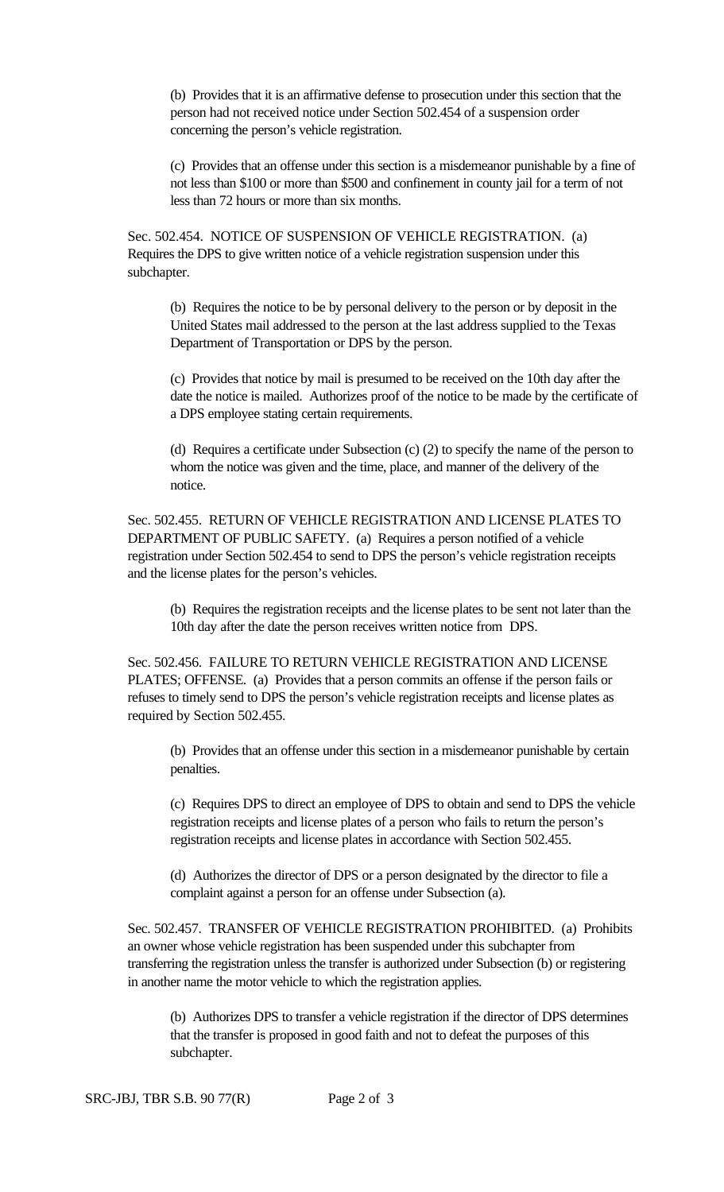(b) Provides that it is an affirmative defense to prosecution under this section that the person had not received notice under Section 502.454 of a suspension order concerning the person's vehicle registration.

(c) Provides that an offense under this section is a misdemeanor punishable by a fine of not less than \$100 or more than \$500 and confinement in county jail for a term of not less than 72 hours or more than six months.

Sec. 502.454. NOTICE OF SUSPENSION OF VEHICLE REGISTRATION. (a) Requires the DPS to give written notice of a vehicle registration suspension under this subchapter.

(b) Requires the notice to be by personal delivery to the person or by deposit in the United States mail addressed to the person at the last address supplied to the Texas Department of Transportation or DPS by the person.

(c) Provides that notice by mail is presumed to be received on the 10th day after the date the notice is mailed. Authorizes proof of the notice to be made by the certificate of a DPS employee stating certain requirements.

(d) Requires a certificate under Subsection (c) (2) to specify the name of the person to whom the notice was given and the time, place, and manner of the delivery of the notice.

Sec. 502.455. RETURN OF VEHICLE REGISTRATION AND LICENSE PLATES TO DEPARTMENT OF PUBLIC SAFETY. (a) Requires a person notified of a vehicle registration under Section 502.454 to send to DPS the person's vehicle registration receipts and the license plates for the person's vehicles.

(b) Requires the registration receipts and the license plates to be sent not later than the 10th day after the date the person receives written notice from DPS.

Sec. 502.456. FAILURE TO RETURN VEHICLE REGISTRATION AND LICENSE PLATES; OFFENSE. (a) Provides that a person commits an offense if the person fails or refuses to timely send to DPS the person's vehicle registration receipts and license plates as required by Section 502.455.

(b) Provides that an offense under this section in a misdemeanor punishable by certain penalties.

(c) Requires DPS to direct an employee of DPS to obtain and send to DPS the vehicle registration receipts and license plates of a person who fails to return the person's registration receipts and license plates in accordance with Section 502.455.

(d) Authorizes the director of DPS or a person designated by the director to file a complaint against a person for an offense under Subsection (a).

Sec. 502.457. TRANSFER OF VEHICLE REGISTRATION PROHIBITED. (a) Prohibits an owner whose vehicle registration has been suspended under this subchapter from transferring the registration unless the transfer is authorized under Subsection (b) or registering in another name the motor vehicle to which the registration applies.

(b) Authorizes DPS to transfer a vehicle registration if the director of DPS determines that the transfer is proposed in good faith and not to defeat the purposes of this subchapter.